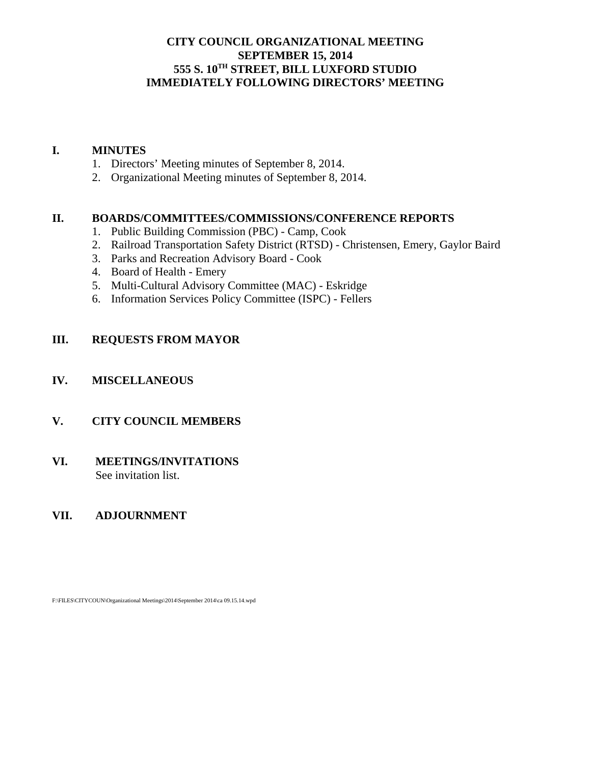## **CITY COUNCIL ORGANIZATIONAL MEETING SEPTEMBER 15, 2014 555 S. 10TH STREET, BILL LUXFORD STUDIO IMMEDIATELY FOLLOWING DIRECTORS' MEETING**

#### **I. MINUTES**

- 1. Directors' Meeting minutes of September 8, 2014.
- 2. Organizational Meeting minutes of September 8, 2014.

#### **II. BOARDS/COMMITTEES/COMMISSIONS/CONFERENCE REPORTS**

- 1. Public Building Commission (PBC) Camp, Cook
- 2. Railroad Transportation Safety District (RTSD) Christensen, Emery, Gaylor Baird
- 3. Parks and Recreation Advisory Board Cook
- 4. Board of Health Emery
- 5. Multi-Cultural Advisory Committee (MAC) Eskridge
- 6. Information Services Policy Committee (ISPC) Fellers

## **III. REQUESTS FROM MAYOR**

#### **IV. MISCELLANEOUS**

## **V. CITY COUNCIL MEMBERS**

#### **VI. MEETINGS/INVITATIONS** See invitation list.

## **VII. ADJOURNMENT**

F:\FILES\CITYCOUN\Organizational Meetings\2014\September 2014\ca 09.15.14.wpd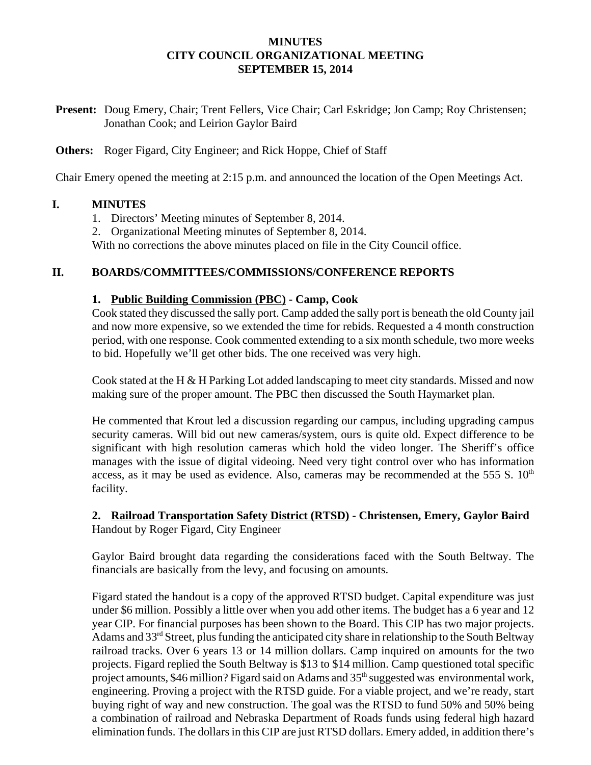#### **MINUTES CITY COUNCIL ORGANIZATIONAL MEETING SEPTEMBER 15, 2014**

**Present:** Doug Emery, Chair; Trent Fellers, Vice Chair; Carl Eskridge; Jon Camp; Roy Christensen; Jonathan Cook; and Leirion Gaylor Baird

**Others:** Roger Figard, City Engineer; and Rick Hoppe, Chief of Staff

Chair Emery opened the meeting at 2:15 p.m. and announced the location of the Open Meetings Act.

#### **I. MINUTES**

- 1. Directors' Meeting minutes of September 8, 2014.
- 2. Organizational Meeting minutes of September 8, 2014.

With no corrections the above minutes placed on file in the City Council office.

#### **II. BOARDS/COMMITTEES/COMMISSIONS/CONFERENCE REPORTS**

#### **1. Public Building Commission (PBC) - Camp, Cook**

Cook stated they discussed the sally port. Camp added the sally port is beneath the old County jail and now more expensive, so we extended the time for rebids. Requested a 4 month construction period, with one response. Cook commented extending to a six month schedule, two more weeks to bid. Hopefully we'll get other bids. The one received was very high.

Cook stated at the H & H Parking Lot added landscaping to meet city standards. Missed and now making sure of the proper amount. The PBC then discussed the South Haymarket plan.

He commented that Krout led a discussion regarding our campus, including upgrading campus security cameras. Will bid out new cameras/system, ours is quite old. Expect difference to be significant with high resolution cameras which hold the video longer. The Sheriff's office manages with the issue of digital videoing. Need very tight control over who has information access, as it may be used as evidence. Also, cameras may be recommended at the 555 S.  $10<sup>th</sup>$ facility.

## **2. Railroad Transportation Safety District (RTSD) - Christensen, Emery, Gaylor Baird** Handout by Roger Figard, City Engineer

Gaylor Baird brought data regarding the considerations faced with the South Beltway. The financials are basically from the levy, and focusing on amounts.

Figard stated the handout is a copy of the approved RTSD budget. Capital expenditure was just under \$6 million. Possibly a little over when you add other items. The budget has a 6 year and 12 year CIP. For financial purposes has been shown to the Board. This CIP has two major projects. Adams and 33<sup>rd</sup> Street, plus funding the anticipated city share in relationship to the South Beltway railroad tracks. Over 6 years 13 or 14 million dollars. Camp inquired on amounts for the two projects. Figard replied the South Beltway is \$13 to \$14 million. Camp questioned total specific project amounts, \$46 million? Figard said on Adams and 35<sup>th</sup> suggested was environmental work, engineering. Proving a project with the RTSD guide. For a viable project, and we're ready, start buying right of way and new construction. The goal was the RTSD to fund 50% and 50% being a combination of railroad and Nebraska Department of Roads funds using federal high hazard elimination funds. The dollars in this CIP are just RTSD dollars. Emery added, in addition there's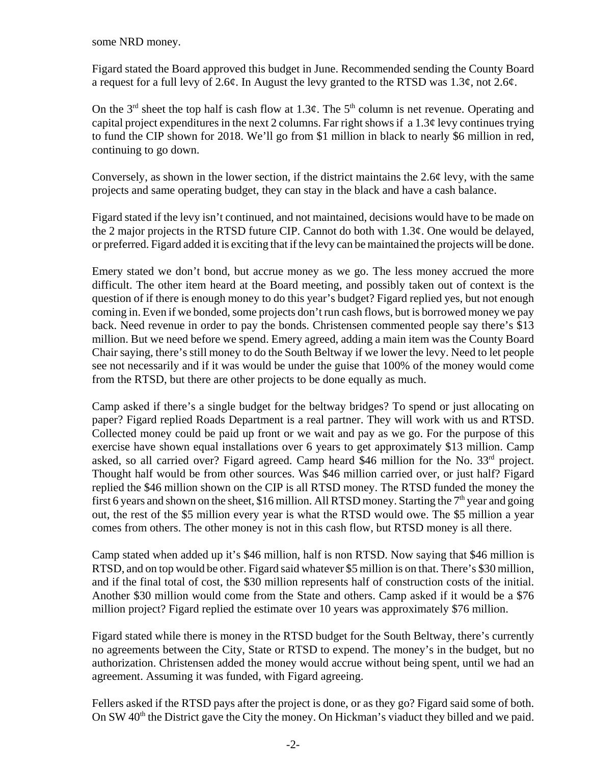some NRD money.

Figard stated the Board approved this budget in June. Recommended sending the County Board a request for a full levy of 2.6¢. In August the levy granted to the RTSD was 1.3¢, not 2.6¢.

On the 3<sup>rd</sup> sheet the top half is cash flow at 1.3¢. The 5<sup>th</sup> column is net revenue. Operating and capital project expenditures in the next 2 columns. Far right shows if a  $1.3¢$  levy continues trying to fund the CIP shown for 2018. We'll go from \$1 million in black to nearly \$6 million in red, continuing to go down.

Conversely, as shown in the lower section, if the district maintains the 2.6¢ levy, with the same projects and same operating budget, they can stay in the black and have a cash balance.

Figard stated if the levy isn't continued, and not maintained, decisions would have to be made on the 2 major projects in the RTSD future CIP. Cannot do both with  $1.3¢$ . One would be delayed, or preferred. Figard added it is exciting that if the levy can be maintained the projects will be done.

Emery stated we don't bond, but accrue money as we go. The less money accrued the more difficult. The other item heard at the Board meeting, and possibly taken out of context is the question of if there is enough money to do this year's budget? Figard replied yes, but not enough coming in. Even if we bonded, some projects don't run cash flows, but is borrowed money we pay back. Need revenue in order to pay the bonds. Christensen commented people say there's \$13 million. But we need before we spend. Emery agreed, adding a main item was the County Board Chair saying, there's still money to do the South Beltway if we lower the levy. Need to let people see not necessarily and if it was would be under the guise that 100% of the money would come from the RTSD, but there are other projects to be done equally as much.

Camp asked if there's a single budget for the beltway bridges? To spend or just allocating on paper? Figard replied Roads Department is a real partner. They will work with us and RTSD. Collected money could be paid up front or we wait and pay as we go. For the purpose of this exercise have shown equal installations over 6 years to get approximately \$13 million. Camp asked, so all carried over? Figard agreed. Camp heard \$46 million for the No.  $33<sup>rd</sup>$  project. Thought half would be from other sources. Was \$46 million carried over, or just half? Figard replied the \$46 million shown on the CIP is all RTSD money. The RTSD funded the money the first 6 years and shown on the sheet, \$16 million. All RTSD money. Starting the  $7<sup>th</sup>$  year and going out, the rest of the \$5 million every year is what the RTSD would owe. The \$5 million a year comes from others. The other money is not in this cash flow, but RTSD money is all there.

Camp stated when added up it's \$46 million, half is non RTSD. Now saying that \$46 million is RTSD, and on top would be other. Figard said whatever \$5 million is on that. There's \$30 million, and if the final total of cost, the \$30 million represents half of construction costs of the initial. Another \$30 million would come from the State and others. Camp asked if it would be a \$76 million project? Figard replied the estimate over 10 years was approximately \$76 million.

Figard stated while there is money in the RTSD budget for the South Beltway, there's currently no agreements between the City, State or RTSD to expend. The money's in the budget, but no authorization. Christensen added the money would accrue without being spent, until we had an agreement. Assuming it was funded, with Figard agreeing.

Fellers asked if the RTSD pays after the project is done, or as they go? Figard said some of both. On SW 40<sup>th</sup> the District gave the City the money. On Hickman's viaduct they billed and we paid.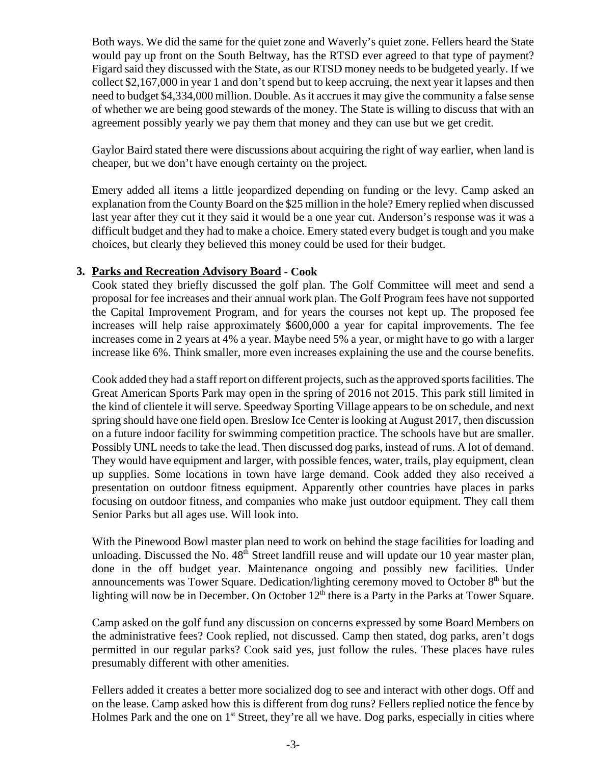Both ways. We did the same for the quiet zone and Waverly's quiet zone. Fellers heard the State would pay up front on the South Beltway, has the RTSD ever agreed to that type of payment? Figard said they discussed with the State, as our RTSD money needs to be budgeted yearly. If we collect \$2,167,000 in year 1 and don't spend but to keep accruing, the next year it lapses and then need to budget \$4,334,000 million. Double. As it accrues it may give the community a false sense of whether we are being good stewards of the money. The State is willing to discuss that with an agreement possibly yearly we pay them that money and they can use but we get credit.

Gaylor Baird stated there were discussions about acquiring the right of way earlier, when land is cheaper, but we don't have enough certainty on the project.

Emery added all items a little jeopardized depending on funding or the levy. Camp asked an explanation from the County Board on the \$25 million in the hole? Emery replied when discussed last year after they cut it they said it would be a one year cut. Anderson's response was it was a difficult budget and they had to make a choice. Emery stated every budget is tough and you make choices, but clearly they believed this money could be used for their budget.

## **3. Parks and Recreation Advisory Board - Cook**

Cook stated they briefly discussed the golf plan. The Golf Committee will meet and send a proposal for fee increases and their annual work plan. The Golf Program fees have not supported the Capital Improvement Program, and for years the courses not kept up. The proposed fee increases will help raise approximately \$600,000 a year for capital improvements. The fee increases come in 2 years at 4% a year. Maybe need 5% a year, or might have to go with a larger increase like 6%. Think smaller, more even increases explaining the use and the course benefits.

Cook added they had a staff report on different projects, such as the approved sports facilities. The Great American Sports Park may open in the spring of 2016 not 2015. This park still limited in the kind of clientele it will serve. Speedway Sporting Village appears to be on schedule, and next spring should have one field open. Breslow Ice Center is looking at August 2017, then discussion on a future indoor facility for swimming competition practice. The schools have but are smaller. Possibly UNL needs to take the lead. Then discussed dog parks, instead of runs. A lot of demand. They would have equipment and larger, with possible fences, water, trails, play equipment, clean up supplies. Some locations in town have large demand. Cook added they also received a presentation on outdoor fitness equipment. Apparently other countries have places in parks focusing on outdoor fitness, and companies who make just outdoor equipment. They call them Senior Parks but all ages use. Will look into.

With the Pinewood Bowl master plan need to work on behind the stage facilities for loading and unloading. Discussed the No. 48<sup>th</sup> Street landfill reuse and will update our 10 year master plan, done in the off budget year. Maintenance ongoing and possibly new facilities. Under announcements was Tower Square. Dedication/lighting ceremony moved to October  $8<sup>th</sup>$  but the lighting will now be in December. On October  $12<sup>th</sup>$  there is a Party in the Parks at Tower Square.

Camp asked on the golf fund any discussion on concerns expressed by some Board Members on the administrative fees? Cook replied, not discussed. Camp then stated, dog parks, aren't dogs permitted in our regular parks? Cook said yes, just follow the rules. These places have rules presumably different with other amenities.

Fellers added it creates a better more socialized dog to see and interact with other dogs. Off and on the lease. Camp asked how this is different from dog runs? Fellers replied notice the fence by Holmes Park and the one on  $1<sup>st</sup>$  Street, they're all we have. Dog parks, especially in cities where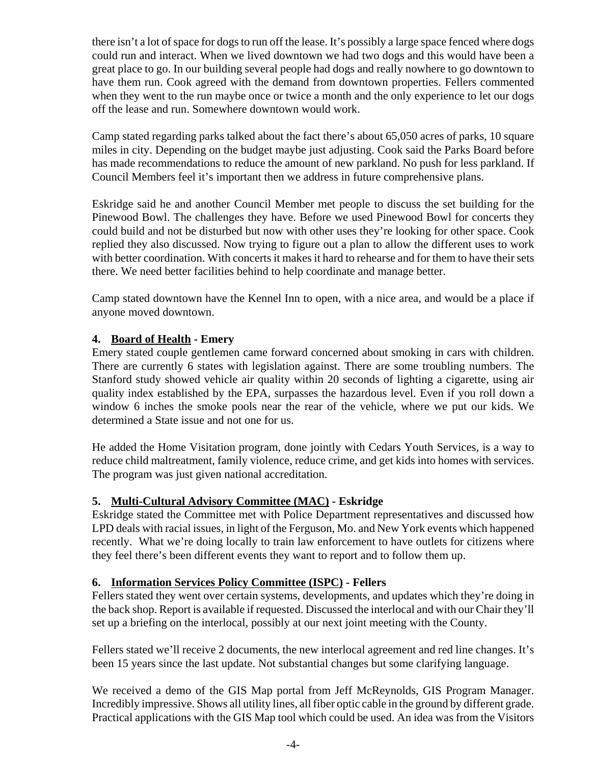there isn't a lot of space for dogs to run off the lease. It's possibly a large space fenced where dogs could run and interact. When we lived downtown we had two dogs and this would have been a great place to go. In our building several people had dogs and really nowhere to go downtown to have them run. Cook agreed with the demand from downtown properties. Fellers commented when they went to the run maybe once or twice a month and the only experience to let our dogs off the lease and run. Somewhere downtown would work.

Camp stated regarding parks talked about the fact there's about 65,050 acres of parks, 10 square miles in city. Depending on the budget maybe just adjusting. Cook said the Parks Board before has made recommendations to reduce the amount of new parkland. No push for less parkland. If Council Members feel it's important then we address in future comprehensive plans.

Eskridge said he and another Council Member met people to discuss the set building for the Pinewood Bowl. The challenges they have. Before we used Pinewood Bowl for concerts they could build and not be disturbed but now with other uses they're looking for other space. Cook replied they also discussed. Now trying to figure out a plan to allow the different uses to work with better coordination. With concerts it makes it hard to rehearse and for them to have their sets there. We need better facilities behind to help coordinate and manage better.

Camp stated downtown have the Kennel Inn to open, with a nice area, and would be a place if anyone moved downtown.

## **4. Board of Health - Emery**

Emery stated couple gentlemen came forward concerned about smoking in cars with children. There are currently 6 states with legislation against. There are some troubling numbers. The Stanford study showed vehicle air quality within 20 seconds of lighting a cigarette, using air quality index established by the EPA, surpasses the hazardous level. Even if you roll down a window 6 inches the smoke pools near the rear of the vehicle, where we put our kids. We determined a State issue and not one for us.

He added the Home Visitation program, done jointly with Cedars Youth Services, is a way to reduce child maltreatment, family violence, reduce crime, and get kids into homes with services. The program was just given national accreditation.

## **5. Multi-Cultural Advisory Committee (MAC) - Eskridge**

Eskridge stated the Committee met with Police Department representatives and discussed how LPD deals with racial issues, in light of the Ferguson, Mo. and New York events which happened recently. What we're doing locally to train law enforcement to have outlets for citizens where they feel there's been different events they want to report and to follow them up.

## **6. Information Services Policy Committee (ISPC) - Fellers**

Fellers stated they went over certain systems, developments, and updates which they're doing in the back shop. Report is available if requested. Discussed the interlocal and with our Chair they'll set up a briefing on the interlocal, possibly at our next joint meeting with the County.

Fellers stated we'll receive 2 documents, the new interlocal agreement and red line changes. It's been 15 years since the last update. Not substantial changes but some clarifying language.

We received a demo of the GIS Map portal from Jeff McReynolds, GIS Program Manager. Incredibly impressive. Shows all utility lines, all fiber optic cable in the ground by different grade. Practical applications with the GIS Map tool which could be used. An idea was from the Visitors